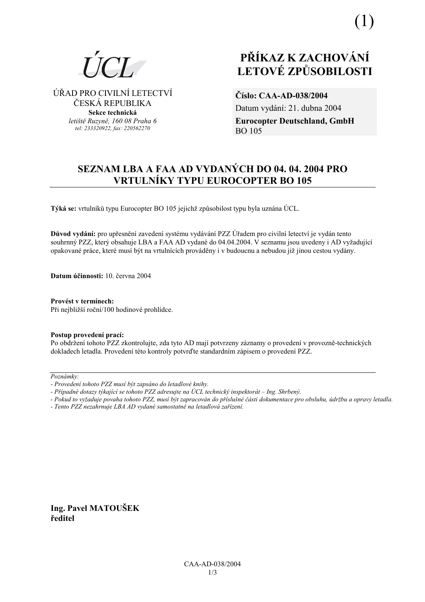

ÚŘAD PRO CIVILNÍ LETECTVÍ ČESKÁ REPUBLIKA Sekce technická letiště Ruzvně, 160 08 Praha 6 tel: 233320922, fax: 220562270

## PŘÍKAZ K ZACHOVÁNÍ **LETOVÉ ZPŮSOBILOSTI**

Číslo: CAA-AD-038/2004 Datum vydání: 21. dubna 2004 **Eurocopter Deutschland, GmbH BO 105** 

## SEZNAM LBA A FAA AD VYDANÝCH DO 04.04.2004 PRO **VRTULNÍKY TYPU EUROCOPTER BO 105**

Týká se: vrtulníků typu Eurocopter BO 105 jejichž způsobilost typu byla uznána ÚCL.

Důvod vydání: pro upřesnění zavedení systému vydávání PZZ Úřadem pro civilní letectví je vydán tento souhrnný PZZ, který obsahuje LBA a FAA AD vydané do 04.04.2004. V seznamu jsou uvedeny i AD vyžadující opakované práce, které musí být na vrtulnících prováděny i v budoucnu a nebudou již jinou cestou vydány.

Datum účinnosti: 10. června 2004

Provést v termínech: Při nejbližší roční/100 hodinové prohlídce.

## Postup provedení prací:

Po obdržení tohoto PZZ zkontrolujte, zda tyto AD mají potvrzeny záznamy o provedení v provozně-technických dokladech letadla. Provedení této kontroly potvrďte standardním zápisem o provedení PZZ.

Poznámky:

- Pokud to vyžaduje povaha tohoto PZZ, musí být zapracován do příslušné části dokumentace pro obsluhu, údržbu a opravy letadla.
- Tento PZZ nezahrnuje LBA AD vydané samostatně na letadlová zařízení.

Ing. Pavel MATOUŠEK ředitel

<sup>-</sup> Provedení tohoto PZZ musí být zapsáno do letadlové knihy.

<sup>-</sup> Případné dotazy týkající se tohoto PZZ adresujte na ÚCL technický inspektorát - Ing. Shrbený.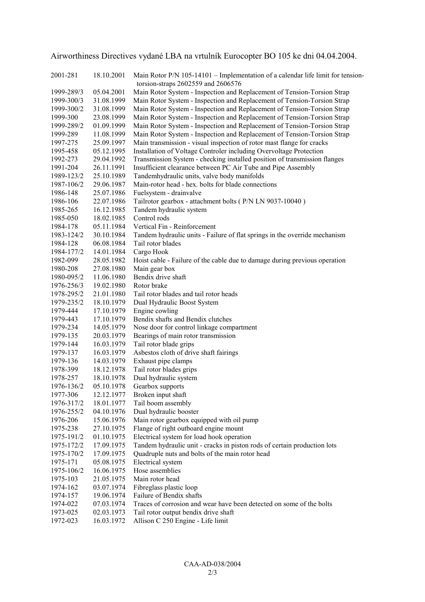Airworthiness Directives vydané LBA na vrtulník Eurocopter BO 105 ke dni 04.04.2004.

| 2001-281   | 18.10.2001 | Main Rotor P/N 105-14101 – Implementation of a calendar life limit for tension-<br>torsion-straps 2602559 and 2606576 |
|------------|------------|-----------------------------------------------------------------------------------------------------------------------|
| 1999-289/3 | 05.04.2001 | Main Rotor System - Inspection and Replacement of Tension-Torsion Strap                                               |
| 1999-300/3 | 31.08.1999 | Main Rotor System - Inspection and Replacement of Tension-Torsion Strap                                               |
| 1999-300/2 | 31.08.1999 | Main Rotor System - Inspection and Replacement of Tension-Torsion Strap                                               |
| 1999-300   | 23.08.1999 | Main Rotor System - Inspection and Replacement of Tension-Torsion Strap                                               |
| 1999-289/2 | 01.09.1999 | Main Rotor System - Inspection and Replacement of Tension-Torsion Strap                                               |
| 1999-289   | 11.08.1999 | Main Rotor System - Inspection and Replacement of Tension-Torsion Strap                                               |
| 1997-275   | 25.09.1997 | Main transmission - visual inspection of rotor mast flange for cracks                                                 |
| 1995-458   | 05.12.1995 | Installation of Voltage Controler including Overvoltage Protection                                                    |
| 1992-273   | 29.04.1992 | Transmission System - checking installed position of transmission flanges                                             |
| 1991-204   | 26.11.1991 | Insufficient clearance between PC Air Tube and Pipe Assembly                                                          |
| 1989-123/2 | 25.10.1989 | Tandemhydraulic units, valve body manifolds                                                                           |
| 1987-106/2 | 29.06.1987 | Main-rotor head - hex. bolts for blade connections                                                                    |
| 1986-148   | 25.07.1986 | Fuelsystem - drainvalve                                                                                               |
| 1986-106   | 22.07.1986 | Tailrotor gearbox - attachment bolts (P/N LN 9037-10040)                                                              |
| 1985-265   | 16.12.1985 | Tandem hydraulic system                                                                                               |
| 1985-050   | 18.02.1985 | Control rods                                                                                                          |
| 1984-178   | 05.11.1984 | Vertical Fin - Reinforcement                                                                                          |
|            |            |                                                                                                                       |
| 1983-124/2 | 30.10.1984 | Tandem hydraulic units - Failure of flat springs in the override mechanism<br>Tail rotor blades                       |
| 1984-128   | 06.08.1984 | Cargo Hook                                                                                                            |
| 1984-177/2 | 14.01.1984 |                                                                                                                       |
| 1982-099   | 28.05.1982 | Hoist cable - Failure of the cable due to damage during previous operation                                            |
| 1980-208   | 27.08.1980 | Main gear box<br>Bendix drive shaft                                                                                   |
| 1980-095/2 | 11.06.1980 |                                                                                                                       |
| 1976-256/3 | 19.02.1980 | Rotor brake                                                                                                           |
| 1978-295/2 | 21.01.1980 | Tail rotor blades and tail rotor heads                                                                                |
| 1979-235/2 | 18.10.1979 | Dual Hydraulic Boost System                                                                                           |
| 1979-444   | 17.10.1979 | Engine cowling                                                                                                        |
| 1979-443   | 17.10.1979 | Bendix shafts and Bendix clutches                                                                                     |
| 1979-234   | 14.05.1979 | Nose door for control linkage compartment                                                                             |
| 1979-135   | 20.03.1979 | Bearings of main rotor transmission                                                                                   |
| 1979-144   | 16.03.1979 | Tail rotor blade grips                                                                                                |
| 1979-137   | 16.03.1979 | Asbestos cloth of drive shaft fairings                                                                                |
| 1979-136   | 14.03.1979 | Exhaust pipe clamps                                                                                                   |
| 1978-399   | 18.12.1978 | Tail rotor blades grips                                                                                               |
| 1978-257   | 18.10.1978 | Dual hydraulic system                                                                                                 |
| 1976-136/2 | 05.10.1978 | Gearbox supports                                                                                                      |
| 1977-306   | 12.12.1977 | Broken input shaft                                                                                                    |
| 1976-317/2 | 18.01.1977 | Tail boom assembly                                                                                                    |
| 1976-255/2 | 04.10.1976 | Dual hydraulic booster                                                                                                |
| 1976-206   | 15.06.1976 | Main rotor gearbox equipped with oil pump                                                                             |
| 1975-238   | 27.10.1975 | Flange of right outboard engine mount                                                                                 |
| 1975-191/2 | 01.10.1975 | Electrical system for load hook operation                                                                             |
| 1975-172/2 | 17.09.1975 | Tandem hydraulic unit - cracks in piston rods of certain production lots                                              |
| 1975-170/2 | 17.09.1975 | Quadruple nuts and bolts of the main rotor head                                                                       |
| 1975-171   | 05.08.1975 | Electrical system                                                                                                     |
| 1975-106/2 | 16.06.1975 | Hose assemblies                                                                                                       |
| 1975-103   | 21.05.1975 | Main rotor head                                                                                                       |
| 1974-162   | 03.07.1974 | Fibreglass plastic loop                                                                                               |
| 1974-157   | 19.06.1974 | Failure of Bendix shafts                                                                                              |
| 1974-022   | 07.03.1974 | Traces of corrosion and wear have been detected on some of the bolts                                                  |
| 1973-025   | 02.03.1973 | Tail rotor output bendix drive shaft                                                                                  |
| 1972-023   | 16.03.1972 | Allison C 250 Engine - Life limit                                                                                     |